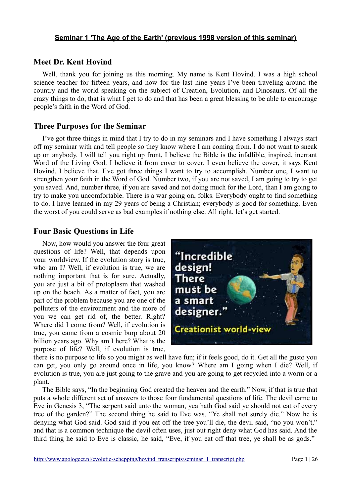# **Meet Dr. Kent Hovind**

Well, thank you for joining us this morning. My name is Kent Hovind. I was a high school science teacher for fifteen years, and now for the last nine years I've been traveling around the country and the world speaking on the subject of Creation, Evolution, and Dinosaurs. Of all the crazy things to do, that is what I get to do and that has been a great blessing to be able to encourage people's faith in the Word of God.

# **Three Purposes for the Seminar**

I've got three things in mind that I try to do in my seminars and I have something I always start off my seminar with and tell people so they know where I am coming from. I do not want to sneak up on anybody. I will tell you right up front, I believe the Bible is the infallible, inspired, inerrant Word of the Living God. I believe it from cover to cover. I even believe the cover, it says Kent Hovind, I believe that. I've got three things I want to try to accomplish. Number one, I want to strengthen your faith in the Word of God. Number two, if you are not saved, I am going to try to get you saved. And, number three, if you are saved and not doing much for the Lord, than I am going to try to make you uncomfortable. There is a war going on, folks. Everybody ought to find something to do. I have learned in my 29 years of being a Christian; everybody is good for something. Even the worst of you could serve as bad examples if nothing else. All right, let's get started.

# **Four Basic Questions in Life**

Now, how would you answer the four great questions of life? Well, that depends upon your worldview. If the evolution story is true, who am I? Well, if evolution is true, we are nothing important that is for sure. Actually, you are just a bit of protoplasm that washed up on the beach. As a matter of fact, you are part of the problem because you are one of the polluters of the environment and the more of you we can get rid of, the better. Right? Where did I come from? Well, if evolution is true, you came from a cosmic burp about 20 billion years ago. Why am I here? What is the purpose of life? Well, if evolution is true,



there is no purpose to life so you might as well have fun; if it feels good, do it. Get all the gusto you can get, you only go around once in life, you know? Where am I going when I die? Well, if evolution is true, you are just going to the grave and you are going to get recycled into a worm or a plant.

The Bible says, "In the beginning God created the heaven and the earth." Now, if that is true that puts a whole different set of answers to those four fundamental questions of life. The devil came to Eve in Genesis 3, "The serpent said unto the woman, yea hath God said ye should not eat of every tree of the garden?" The second thing he said to Eve was, "Ye shall not surely die." Now he is denying what God said. God said if you eat off the tree you'll die, the devil said, "no you won't," and that is a common technique the devil often uses, just out right deny what God has said. And the third thing he said to Eve is classic, he said, "Eve, if you eat off that tree, ye shall be as gods."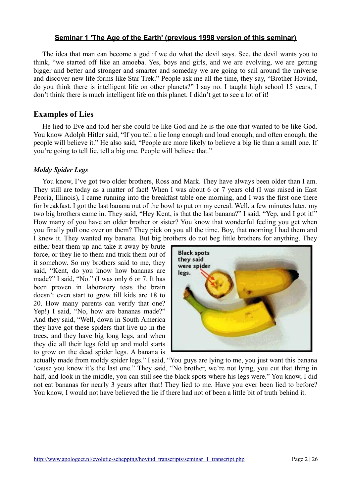The idea that man can become a god if we do what the devil says. See, the devil wants you to think, "we started off like an amoeba. Yes, boys and girls, and we are evolving, we are getting bigger and better and stronger and smarter and someday we are going to sail around the universe and discover new life forms like Star Trek." People ask me all the time, they say, "Brother Hovind, do you think there is intelligent life on other planets?" I say no. I taught high school 15 years, I don't think there is much intelligent life on this planet. I didn't get to see a lot of it!

### **Examples of Lies**

He lied to Eve and told her she could be like God and he is the one that wanted to be like God. You know Adolph Hitler said, "If you tell a lie long enough and loud enough, and often enough, the people will believe it." He also said, "People are more likely to believe a big lie than a small one. If you're going to tell lie, tell a big one. People will believe that."

### *Moldy Spider Legs*

You know, I've got two older brothers, Ross and Mark. They have always been older than I am. They still are today as a matter of fact! When I was about 6 or 7 years old (I was raised in East Peoria, Illinois), I came running into the breakfast table one morning, and I was the first one there for breakfast. I got the last banana out of the bowl to put on my cereal. Well, a few minutes later, my two big brothers came in. They said, "Hey Kent, is that the last banana?" I said, "Yep, and I got it!" How many of you have an older brother or sister? You know that wonderful feeling you get when you finally pull one over on them? They pick on you all the time. Boy, that morning I had them and I knew it. They wanted my banana. But big brothers do not beg little brothers for anything. They

either beat them up and take it away by brute force, or they lie to them and trick them out of it somehow. So my brothers said to me, they said, "Kent, do you know how bananas are made?" I said, "No." (I was only 6 or 7. It has been proven in laboratory tests the brain doesn't even start to grow till kids are 18 to 20. How many parents can verify that one? Yep!) I said, "No, how are bananas made?" And they said, "Well, down in South America they have got these spiders that live up in the trees, and they have big long legs, and when they die all their legs fold up and mold starts to grow on the dead spider legs. A banana is



actually made from moldy spider legs." I said, "You guys are lying to me, you just want this banana 'cause you know it's the last one." They said, "No brother, we're not lying, you cut that thing in half, and look in the middle, you can still see the black spots where his legs were." You know, I did not eat bananas for nearly 3 years after that! They lied to me. Have you ever been lied to before? You know, I would not have believed the lie if there had not of been a little bit of truth behind it.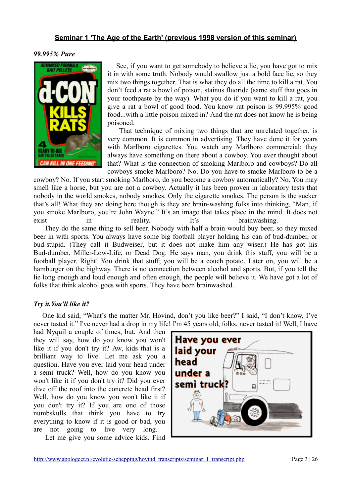#### *99.995% Pure*



See, if you want to get somebody to believe a lie, you have got to mix it in with some truth. Nobody would swallow just a bold face lie, so they mix two things together. That is what they do all the time to kill a rat. You don't feed a rat a bowl of poison, stainus fluoride (same stuff that goes in your toothpaste by the way). What you do if you want to kill a rat, you give a rat a bowl of good food. You know rat poison is 99.995% good food...with a little poison mixed in? And the rat does not know he is being poisoned.

 That technique of mixing two things that are unrelated together, is very common. It is common in advertising. They have done it for years with Marlboro cigarettes. You watch any Marlboro commercial: they always have something on there about a cowboy. You ever thought about that? What is the connection of smoking Marlboro and cowboys? Do all cowboys smoke Marlboro? No. Do you have to smoke Marlboro to be a

cowboy? No. If you start smoking Marlboro, do you become a cowboy automatically? No. You may smell like a horse, but you are not a cowboy. Actually it has been proven in laboratory tests that nobody in the world smokes, nobody smokes. Only the cigarette smokes. The person is the sucker that's all! What they are doing here though is they are brain-washing folks into thinking, "Man, if you smoke Marlboro, you're John Wayne." It's an image that takes place in the mind. It does not exist in reality. It's brainwashing.

 They do the same thing to sell beer. Nobody with half a brain would buy beer, so they mixed beer in with sports. You always have some big football player holding his can of bud-dumber, or bud-stupid. (They call it Budweiser, but it does not make him any wiser.) He has got his Bud-dumber, Miller-Low-Life, or Dead Dog. He says man, you drink this stuff, you will be a football player. Right! You drink that stuff; you will be a couch potato. Later on, you will be a hamburger on the highway. There is no connection between alcohol and sports. But, if you tell the lie long enough and loud enough and often enough, the people will believe it. We have got a lot of folks that think alcohol goes with sports. They have been brainwashed.

#### *Try it.You'll like it?*

One kid said, "What's the matter Mr. Hovind, don't you like beer?" I said, "I don't know, I've never tasted it." I've never had a drop in my life! I'm 45 years old, folks, never tasted it! Well, I have

had Nyquil a couple of times, but. And then they will say, how do you know you won't like it if you don't try it? Aw, kids that is a brilliant way to live. Let me ask you a question. Have you ever laid your head under a semi truck? Well, how do you know you won't like it if you don't try it? Did you ever dive off the roof into the concrete head first? Well, how do you know you won't like it if you don't try it? If you are one of those numbskulls that think you have to try everything to know if it is good or bad, you are not going to live very long.

Let me give you some advice kids. Find

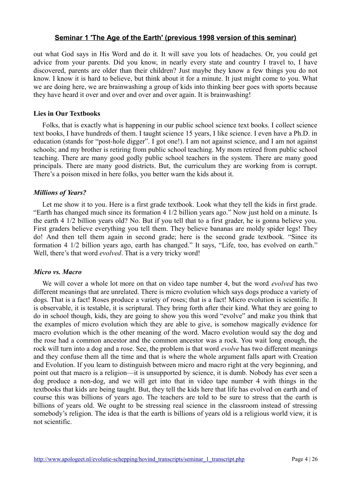out what God says in His Word and do it. It will save you lots of headaches. Or, you could get advice from your parents. Did you know, in nearly every state and country I travel to, I have discovered, parents are older than their children? Just maybe they know a few things you do not know. I know it is hard to believe, but think about it for a minute. It just might come to you. What we are doing here, we are brainwashing a group of kids into thinking beer goes with sports because they have heard it over and over and over and over again. It is brainwashing!

#### **Lies in Our Textbooks**

Folks, that is exactly what is happening in our public school science text books. I collect science text books, I have hundreds of them. I taught science 15 years, I like science. I even have a Ph.D. in education (stands for "post-hole digger". I got one!). I am not against science, and I am not against schools; and my brother is retiring from public school teaching. My mom retired from public school teaching. There are many good godly public school teachers in the system. There are many good principals. There are many good districts. But, the curriculum they are working from is corrupt. There's a poison mixed in here folks, you better warn the kids about it.

#### *Millions of Years?*

Let me show it to you. Here is a first grade textbook. Look what they tell the kids in first grade. "Earth has changed much since its formation 4 1/2 billion years ago." Now just hold on a minute. Is the earth 4 1/2 billion years old? No. But if you tell that to a first grader, he is gonna believe you. First graders believe everything you tell them. They believe bananas are moldy spider legs! They do! And then tell them again in second grade; here is the second grade textbook. "Since its formation 4 1/2 billion years ago, earth has changed." It says, "Life, too, has evolved on earth." Well, there's that word *evolved*. That is a very tricky word!

#### *Micro vs. Macro*

We will cover a whole lot more on that on video tape number 4, but the word *evolved* has two different meanings that are unrelated. There is micro evolution which says dogs produce a variety of dogs. That is a fact! Roses produce a variety of roses; that is a fact! Micro evolution is scientific. It is observable, it is testable, it is scriptural. They bring forth after their kind. What they are going to do in school though, kids, they are going to show you this word "evolve" and make you think that the examples of micro evolution which they are able to give, is somehow magically evidence for macro evolution which is the other meaning of the word. Macro evolution would say the dog and the rose had a common ancestor and the common ancestor was a rock. You wait long enough, the rock will turn into a dog and a rose. See, the problem is that word *evolve* has two different meanings and they confuse them all the time and that is where the whole argument falls apart with Creation and Evolution. If you learn to distinguish between micro and macro right at the very beginning, and point out that macro is a religion—it is unsupported by science, it is dumb. Nobody has ever seen a dog produce a non-dog, and we will get into that in video tape number 4 with things in the textbooks that kids are being taught. But, they tell the kids here that life has evolved on earth and of course this was billions of years ago. The teachers are told to be sure to stress that the earth is billions of years old. We ought to be stressing real science in the classroom instead of stressing somebody's religion. The idea is that the earth is billions of years old is a religious world view, it is not scientific.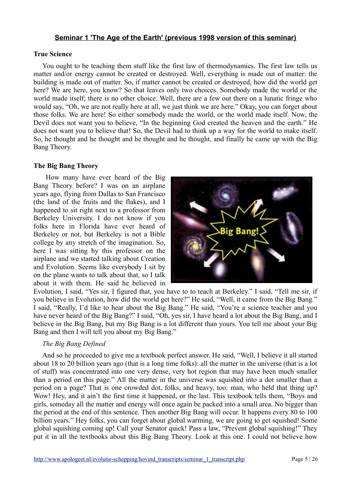#### **True Science**

You ought to be teaching them stuff like the first law of thermodynamics. The first law tells us matter and/or energy cannot be created or destroyed. Well, everything is made out of matter: the building is made out of matter. So, if matter cannot be created or destroyed, how did the world get here? We are here, you know? So that leaves only two choices. Somebody made the world or the world made itself; there is no other choice. Well, there are a few out there on a lunatic fringe who would say, "Oh, we are not really here at all, we just think we are here." Okay, you can forget about those folks. We are here! So either somebody made the world, or the world made itself. Now, the Devil does not want you to believe, "In the beginning God created the heaven and the earth." He does not want you to believe that! So, the Devil had to think up a way for the world to make itself. So, he thought and he thought and he thought and he thought, and finally he came up with the Big Bang Theory.

#### **The Big Bang Theory**

 How many have ever heard of the Big Bang Theory before? I was on an airplane years ago, flying from Dallas to San Francisco (the land of the fruits and the flakes), and I happened to sit right next to a professor from Berkeley University. I do not know if you folks here in Florida have ever heard of Berkeley or not, but Berkeley is not a Bible college by any stretch of the imagination. So, here I was sitting by this professor on the airplane and we started talking about Creation and Evolution. Seems like everybody I sit by on the plane wants to talk about that, so I talk about it with them. He said he believed in



Evolution, I said, "Yes sir, I figured that, you have to to teach at Berkeley." I said, "Tell me sir, if you believe in Evolution, how did the world get here?" He said, "Well, it came from the Big Bang." I said, "Really, I'd like to hear about the Big Bang." He said, "You're a science teacher and you have never heard of the Big Bang?" I said, "Oh, yes sir, I have heard a lot about the Big Bang, and I believe in the Big Bang, but my Big Bang is a lot different than yours. You tell me about your Big Bang and then I will tell you about my Big Bang."

#### *The Big Bang Defined*

And so he proceeded to give me a textbook perfect answer. He said, "Well, I believe it all started about 18 to 20 billion years ago (that is a long time folks): all the matter in the universe (that is a lot of stuff) was concentrated into one very dense, very hot region that may have been much smaller than a period on this page." All the matter in the universe was squished into a dot smaller than a period on a page? That is one crowded dot, folks, and heavy, too: man, who held that thing up? Wow! Hey, and it ain't the first time it happened, or the last. This textbook tells them, "Boys and girls, someday all the matter and energy will once again be packed into a small area. No bigger than the period at the end of this sentence. Then another Big Bang will occur. It happens every 80 to 100 billion years." Hey folks, you can forget about global warming, we are going to get squished! Some global squishing coming up! Call your Senator quick! Pass a law, "Prevent global squishing!" They put it in all the textbooks about this Big Bang Theory. Look at this one. I could not believe how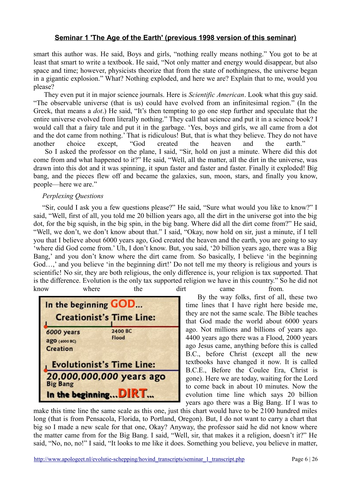smart this author was. He said, Boys and girls, "nothing really means nothing." You got to be at least that smart to write a textbook. He said, "Not only matter and energy would disappear, but also space and time; however, physicists theorize that from the state of nothingness, the universe began in a gigantic explosion." What? Nothing exploded, and here we are? Explain that to me, would you please?

 They even put it in major science journals. Here is *Scientific American*. Look what this guy said. "The observable universe (that is us) could have evolved from an infinitesimal region." (In the Greek, that means a *dot*.) He said, "It's then tempting to go one step further and speculate that the entire universe evolved from literally nothing." They call that science and put it in a science book? I would call that a fairy tale and put it in the garbage. 'Yes, boys and girls, we all came from a dot and the dot came from nothing.' That is ridiculous! But, that is what they believe. They do not have another choice except, "God created the heaven and the earth." So I asked the professor on the plane, I said, "Sir, hold on just a minute. Where did this dot come from and what happened to it?" He said, "Well, all the matter, all the dirt in the universe, was drawn into this dot and it was spinning, it spun faster and faster and faster. Finally it exploded! Big

bang, and the pieces flew off and became the galaxies, sun, moon, stars, and finally you know, people—here we are."

#### *Perplexing Questions*

"Sir, could I ask you a few questions please?" He said, "Sure what would you like to know?" I said, "Well, first of all, you told me 20 billion years ago, all the dirt in the universe got into the big dot, for the big squish, in the big spin, in the big bang. Where did all the dirt come from?" He said, "Well, we don't, we don't know about that." I said, "Okay, now hold on sir, just a minute, if I tell you that I believe about 6000 years ago, God created the heaven and the earth, you are going to say 'where did God come from.' Uh, I don't know. But, you said, '20 billion years ago, there was a Big Bang,' and you don't know where the dirt came from. So basically, I believe 'in the beginning God…,' and you believe 'in the beginning dirt!' Do not tell me my theory is religious and yours is scientific! No sir, they are both religious, the only difference is, your religion is tax supported. That is the difference. Evolution is the only tax supported religion we have in this country." So he did not know where the dirt came from.

| In the beginning GOD                                                 |                  |  |  |
|----------------------------------------------------------------------|------------------|--|--|
| <b>Creationist's Time Line:</b>                                      |                  |  |  |
| 6000 years<br>адо (4000 ВС)<br>Creation                              | 2400 BC<br>Flood |  |  |
| <b>Evolutionist's Time Line:</b>                                     |                  |  |  |
| 20,000,000,000 years ago<br><b>Big Bang</b><br>In the beginning DIRT |                  |  |  |

 By the way folks, first of all, these two time lines that I have right here beside me, they are not the same scale. The Bible teaches that God made the world about 6000 years ago. Not millions and billions of years ago. 4400 years ago there was a Flood, 2000 years ago Jesus came, anything before this is called B.C., before Christ (except all the new textbooks have changed it now. It is called B.C.E., Before the Coulee Era, Christ is gone). Here we are today, waiting for the Lord to come back in about 10 minutes. Now the evolution time line which says 20 billion years ago there was a Big Bang. If I was to

make this time line the same scale as this one, just this chart would have to be 2100 hundred miles long (that is from Pensacola, Florida, to Portland, Oregon). But, I do not want to carry a chart that big so I made a new scale for that one, Okay? Anyway, the professor said he did not know where the matter came from for the Big Bang. I said, "Well, sir, that makes it a religion, doesn't it?" He said, "No, no, no!" I said, "It looks to me like it does. Something you believe, you believe in matter,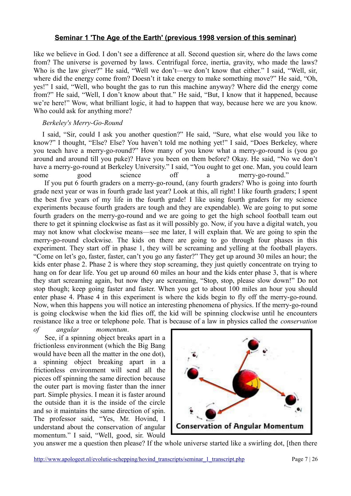like we believe in God. I don't see a difference at all. Second question sir, where do the laws come from? The universe is governed by laws. Centrifugal force, inertia, gravity, who made the laws? Who is the law giver?" He said, "Well we don't—we don't know that either." I said, "Well, sir, where did the energy come from? Doesn't it take energy to make something move?" He said, "Oh, yes!" I said, "Well, who bought the gas to run this machine anyway? Where did the energy come from?" He said, "Well, I don't know about that." He said, "But, I know that it happened, because we're here!" Wow, what brilliant logic, it had to happen that way, because here we are you know. Who could ask for anything more?

### *Berkeley's Merry-Go-Round*

I said, "Sir, could I ask you another question?" He said, "Sure, what else would you like to know?" I thought, "Else? Else? You haven't told me nothing yet!" I said, "Does Berkeley, where you teach have a merry-go-round?" How many of you know what a merry-go-round is (you go around and around till you puke)? Have you been on them before? Okay. He said, "No we don't have a merry-go-round at Berkeley University." I said, "You ought to get one. Man, you could learn some good science off a merry-go-round." If you put 6 fourth graders on a merry-go-round, (any fourth graders? Who is going into fourth grade next year or was in fourth grade last year? Look at this, all right! I like fourth graders; I spent the best five years of my life in the fourth grade! I like using fourth graders for my science experiments because fourth graders are tough and they are expendable). We are going to put some fourth graders on the merry-go-round and we are going to get the high school football team out there to get it spinning clockwise as fast as it will possibly go. Now, if you have a digital watch, you may not know what clockwise means—see me later, I will explain that. We are going to spin the merry-go-round clockwise. The kids on there are going to go through four phases in this experiment. They start off in phase 1, they will be screaming and yelling at the football players. "Come on let's go, faster, faster, can't you go any faster?" They get up around 30 miles an hour; the kids enter phase 2. Phase 2 is where they stop screaming, they just quietly concentrate on trying to hang on for dear life. You get up around 60 miles an hour and the kids enter phase 3, that is where they start screaming again, but now they are screaming, "Stop, stop, please slow down!" Do not stop though; keep going faster and faster. When you get to about 100 miles an hour you should enter phase 4. Phase 4 in this experiment is where the kids begin to fly off the merry-go-round. Now, when this happens you will notice an interesting phenomena of physics. If the merry-go-round is going clockwise when the kid flies off, the kid will be spinning clockwise until he encounters resistance like a tree or telephone pole. That is because of a law in physics called the *conservation*

*of angular momentum*. See, if a spinning object breaks apart in a frictionless environment (which the Big Bang would have been all the matter in the one dot), a spinning object breaking apart in a frictionless environment will send all the pieces off spinning the same direction because the outer part is moving faster than the inner part. Simple physics. I mean it is faster around the outside than it is the inside of the circle and so it maintains the same direction of spin. The professor said, "Yes, Mr. Hovind, I understand about the conservation of angular momentum." I said, "Well, good, sir. Would



you answer me a question then please? If the whole universe started like a swirling dot, [then there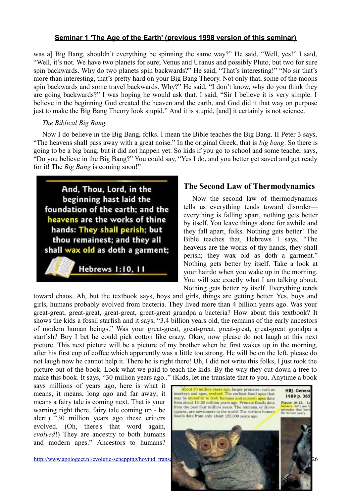was a] Big Bang, shouldn't everything be spinning the same way?" He said, "Well, yes!" I said, "Well, it's not. We have two planets for sure; Venus and Uranus and possibly Pluto, but two for sure spin backwards. Why do two planets spin backwards?" He said, "That's interesting!" "No sir that's more than interesting, that's pretty hard on your Big Bang Theory. Not only that, some of the moons spin backwards and some travel backwards. Why?" He said, "I don't know, why do you think they are going backwards?" I was hoping he would ask that. I said, "Sir I believe it is very simple. I believe in the beginning God created the heaven and the earth, and God did it that way on purpose just to make the Big Bang Theory look stupid." And it is stupid, [and] it certainly is not science.

### *The Biblical Big Bang*

Now I do believe in the Big Bang, folks. I mean the Bible teaches the Big Bang. II Peter 3 says, "The heavens shall pass away with a great noise." In the original Greek, that is *big bang*. So there is going to be a big bang, but it did not happen yet. So kids if you go to school and some teacher says, "Do you believe in the Big Bang?" You could say, "Yes I do, and you better get saved and get ready for it! The *Big Bang* is coming soon!"



# **The Second Law of Thermodynamics**

Now the second law of thermodynamics tells us everything tends toward disorder everything is falling apart, nothing gets better by itself. You leave things alone for awhile and they fall apart, folks. Nothing gets better! The Bible teaches that, Hebrews 1 says, "The heavens are the works of thy hands, they shall perish; they wax old as doth a garment." Nothing gets better by itself. Take a look at your hairdo when you wake up in the morning. You will see exactly what I am talking about. Nothing gets better by itself. Everything tends

toward chaos. Ah, but the textbook says, boys and girls, things are getting better. Yes, boys and girls, humans probably evolved from bacteria. They lived more than 4 billion years ago. Was your great-great, great-great, great-great, great-great grandpa a bacteria? How about this textbook? It shows the kids a fossil starfish and it says, "3.4 billion years old, the remains of the early ancestors of modern human beings." Was your great-great, great-great, great-great, great-great grandpa a starfish? Boy I bet he could pick cotton like crazy. Okay, now please do not laugh at this next picture. This next picture will be a picture of my brother when he first wakes up in the morning, after his first cup of coffee which apparently was a little too strong. He will be on the left, please do not laugh now he cannot help it. There he is right there! Uh, I did not write this folks, I just took the picture out of the book. Look what we paid to teach the kids. By the way they cut down a tree to make this book. It says, "30 million years ago.." (Kids, let me translate that to you. Anytime a book

says millions of years ago, here is what it means, it means, long ago and far away; it means a fairy tale is coming next. That is your warning right there, fairy tale coming up - be alert.) "30 million years ago these critters evolved. (Oh, there's that word again, *evolved*!) They are ancestry to both humans and modern apes." Ancestors to humans?

http://www.apologeet.nl/evolutie-schepping/hovind\_trans

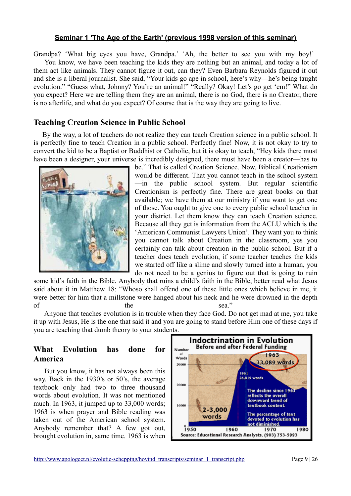Grandpa? 'What big eyes you have, Grandpa.' 'Ah, the better to see you with my boy!' You know, we have been teaching the kids they are nothing but an animal, and today a lot of them act like animals. They cannot figure it out, can they? Even Barbara Reynolds figured it out and she is a liberal journalist. She said, "Your kids go ape in school, here's why—he's being taught evolution." "Guess what, Johnny? You're an animal!" "Really? Okay! Let's go get 'em!" What do you expect? Here we are telling them they are an animal, there is no God, there is no Creator, there is no afterlife, and what do you expect? Of course that is the way they are going to live.

## **Teaching Creation Science in Public School**

By the way, a lot of teachers do not realize they can teach Creation science in a public school. It is perfectly fine to teach Creation in a public school. Perfectly fine! Now, it is not okay to try to convert the kid to be a Baptist or Buddhist or Catholic, but it is okay to teach, "Hey kids there must have been a designer, your universe is incredibly designed, there must have been a creator—has to



be." That is called Creation Science. Now, Biblical Creationism would be different. That you cannot teach in the school system —in the public school system. But regular scientific Creationism is perfectly fine. There are great books on that available; we have them at our ministry if you want to get one of those. You ought to give one to every public school teacher in your district. Let them know they can teach Creation science. Because all they get is information from the ACLU which is the 'American Communist Lawyers Union'. They want you to think you cannot talk about Creation in the classroom, yes you certainly can talk about creation in the public school. But if a teacher does teach evolution, if some teacher teaches the kids we started off like a slime and slowly turned into a human, you do not need to be a genius to figure out that is going to ruin

some kid's faith in the Bible. Anybody that ruins a child's faith in the Bible, better read what Jesus said about it in Matthew 18: "Whoso shall offend one of these little ones which believe in me, it were better for him that a millstone were hanged about his neck and he were drowned in the depth of the sea."

 Anyone that teaches evolution is in trouble when they face God. Do not get mad at me, you take it up with Jesus, He is the one that said it and you are going to stand before Him one of these days if you are teaching that dumb theory to your students.

# **What Evolution has done for America**

 But you know, it has not always been this way. Back in the 1930's or 50's, the average textbook only had two to three thousand words about evolution. It was not mentioned much. In 1963, it jumped up to 33,000 words; 1963 is when prayer and Bible reading was taken out of the American school system. Anybody remember that? A few got out, brought evolution in, same time. 1963 is when

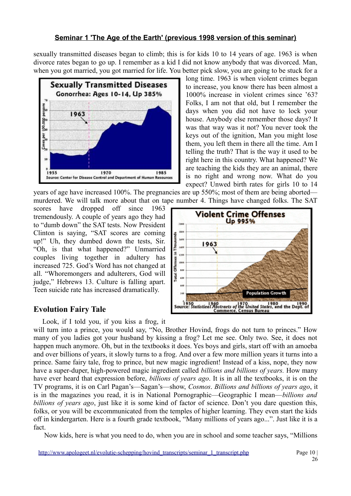sexually transmitted diseases began to climb; this is for kids 10 to 14 years of age. 1963 is when divorce rates began to go up. I remember as a kid I did not know anybody that was divorced. Man, when you got married, you got married for life. You better pick slow, you are going to be stuck for a



long time. 1963 is when violent crimes began to increase, you know there has been almost a 1000% increase in violent crimes since '63? Folks, I am not that old, but I remember the days when you did not have to lock your house. Anybody else remember those days? It was that way was it not? You never took the keys out of the ignition, Man you might lose them, you left them in there all the time. Am I telling the truth? That is the way it used to be right here in this country. What happened? We are teaching the kids they are an animal, there is no right and wrong now. What do you expect? Unwed birth rates for girls 10 to 14

years of age have increased 100%. The pregnancies are up 550%; most of them are being aborted murdered. We will talk more about that on tape number 4. Things have changed folks. The SAT

scores have dropped off since 1963 tremendously. A couple of years ago they had to "dumb down" the SAT tests. Now President Clinton is saying, "SAT scores are coming up!" Uh, they dumbed down the tests, Sir. "Oh, is that what happened?" Unmarried couples living together in adultery has increased 725. God's Word has not changed at all. "Whoremongers and adulterers, God will judge," Hebrews 13. Culture is falling apart. Teen suicide rate has increased dramatically.

#### Up 995% 2000  $1884$ Thousands **Teac** 1963  $1455$ Ξ 1281 Offenses **TARK Total** Total έà in. **Population Growth** 10 1980 1980<br>Source: Statistical Abstracts of the United States, and the Dept. o

**Violent Crime Offenses** 

# **Evolution Fairy Tale**

Look, if I told you, if you kiss a frog, it

will turn into a prince, you would say, "No, Brother Hovind, frogs do not turn to princes." How many of you ladies got your husband by kissing a frog? Let me see. Only two. See, it does not happen much anymore. Oh, but in the textbooks it does. Yes boys and girls, start off with an amoeba and over billions of years, it slowly turns to a frog. And over a few more million years it turns into a prince. Same fairy tale, frog to prince, but new magic ingredient! Instead of a kiss, nope, they now have a super-duper, high-powered magic ingredient called *billions and billions of years.* How many have ever heard that expression before, *billions of years ago*. It is in all the textbooks, it is on the TV programs, it is on Carl Pagan's—Sagan's—show, *Cosmos*. *Billions and billions of years ago*, it is in the magazines you read, it is in National Pornographic—Geographic I mean—*billions and billions of years ago*, just like it is some kind of factor of science. Don't you dare question this, folks, or you will be excommunicated from the temples of higher learning. They even start the kids off in kindergarten. Here is a fourth grade textbook, "Many millions of years ago...". Just like it is a fact.

Now kids, here is what you need to do, when you are in school and some teacher says, "Millions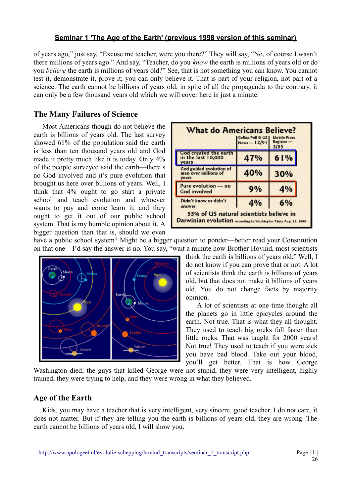of years ago," just say, "Excuse me teacher, were you there?" They will say, "No, of course I wasn't there millions of years ago." And say, "Teacher, do you *know* the earth is millions of years old or do you *believe* the earth is millions of years old?" See, that is not something you can know. You cannot test it, demonstrate it, prove it; you can only believe it. That is part of your religion, not part of a science. The earth cannot be billions of years old, in spite of all the propaganda to the contrary, it can only be a few thousand years old which we will cover here in just a minute.

# **The Many Failures of Science**

Most Americans though do not believe the earth is billions of years old. The last survey showed 61% of the population said the earth is less than ten thousand years old and God made it pretty much like it is today. Only 4% of the people surveyed said the earth—there's no God involved and it's pure evolution that brought us here over billions of years. Well, I think that 4% ought to go start a private school and teach evolution and whoever wants to pay and come learn it, and they ought to get it out of our public school system. That is my humble opinion about it. A bigger question than that is, should we even

| <b>What do Americans Believe?</b><br>  Gallup Poll & US  <br><b>Mobile Press</b><br>News-12/91<br>$Register -$<br>3/95 |     |     |
|------------------------------------------------------------------------------------------------------------------------|-----|-----|
| God created the earth<br>in the last 10,000<br>years                                                                   | 47% | 61% |
| God guided evolution of<br>man over millions of<br>years                                                               | 40% | 30% |
| Pure evolution - no<br><b>God involved</b>                                                                             | 9%  | 4%  |
| Didn't know or didn't<br>4%<br>6%<br>answer<br>55% of US natural scientists believe in                                 |     |     |
| Darwinian evolution according to Washington Times Aug. 31, 1998                                                        |     |     |

have a public school system? Might be a bigger question to ponder—better read your Constitution on that one—I'd say the answer is no. You say, "wait a minute now Brother Hovind, most scientists



think the earth is billions of years old." Well, I do not know if you can prove that or not. A lot of scientists think the earth is billions of years old, but that does not make it billions of years old. You do not change facts by majority opinion.

 A lot of scientists at one time thought all the planets go in little epicycles around the earth. Not true. That is what they all thought. They used to teach big rocks fall faster than little rocks. That was taught for 2000 years! Not true! They used to teach if you were sick you have bad blood. Take out your blood, you'll get better. That is how George

Washington died; the guys that killed George were not stupid, they were very intelligent, highly trained, they were trying to help, and they were wrong in what they believed.

# **Age of the Earth**

Kids, you may have a teacher that is very intelligent, very sincere, good teacher, I do not care, it does not matter. But if they are telling you the earth is billions of years old, they are wrong. The earth cannot be billions of years old, I will show you.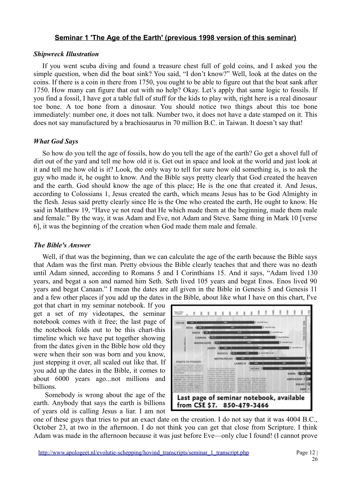### *Shipwreck Illustration*

If you went scuba diving and found a treasure chest full of gold coins, and I asked you the simple question, when did the boat sink? You said, "I don't know?" Well, look at the dates on the coins. If there is a coin in there from 1750, you ought to be able to figure out that the boat sank after 1750. How many can figure that out with no help? Okay. Let's apply that same logic to fossils. If you find a fossil, I have got a table full of stuff for the kids to play with, right here is a real dinosaur toe bone. A toe bone from a dinosaur. You should notice two things about this toe bone immediately: number one, it does not talk. Number two, it does not have a date stamped on it. This does not say manufactured by a brachiosaurus in 70 million B.C. in Taiwan. It doesn't say that!

### *What God Says*

So how do you tell the age of fossils, how do you tell the age of the earth? Go get a shovel full of dirt out of the yard and tell me how old it is. Get out in space and look at the world and just look at it and tell me how old is it? Look, the only way to tell for sure how old something is, is to ask the guy who made it, he ought to know. And the Bible says pretty clearly that God created the heaven and the earth. God should know the age of this place; He is the one that created it. And Jesus, according to Colossians 1, Jesus created the earth, which means Jesus has to be God Almighty in the flesh. Jesus said pretty clearly since He is the One who created the earth, He ought to know. He said in Matthew 19, "Have ye not read that He which made them at the beginning, made them male and female." By the way, it was Adam and Eve, not Adam and Steve. Same thing in Mark 10 [verse 6], it was the beginning of the creation when God made them male and female.

### *The Bible's Answer*

Well, if that was the beginning, than we can calculate the age of the earth because the Bible says that Adam was the first man. Pretty obvious the Bible clearly teaches that and there was no death until Adam sinned, according to Romans 5 and I Corinthians 15. And it says, "Adam lived 130 years, and begat a son and named him Seth. Seth lived 105 years and begat Enos. Enos lived 90 years and begat Canaan." I mean the dates are all given in the Bible in Genesis 5 and Genesis 11 and a few other places if you add up the dates in the Bible, about like what I have on this chart, I've

got that chart in my seminar notebook. If you get a set of my videotapes, the seminar notebook comes with it free; the last page of the notebook folds out to be this chart-this timeline which we have put together showing from the dates given in the Bible how old they were when their son was born and you know, just stepping it over, all scaled out like that. If you add up the dates in the Bible, it comes to about 6000 years ago...not millions and billions.

 Somebody is wrong about the age of the earth. Anybody that says the earth is billions of years old is calling Jesus a liar. I am not



one of these guys that tries to put an exact date on the creation. I do not say that it was 4004 B.C., October 23, at two in the afternoon. I do not think you can get that close from Scripture. I think Adam was made in the afternoon because it was just before Eve—only clue I found! (I cannot prove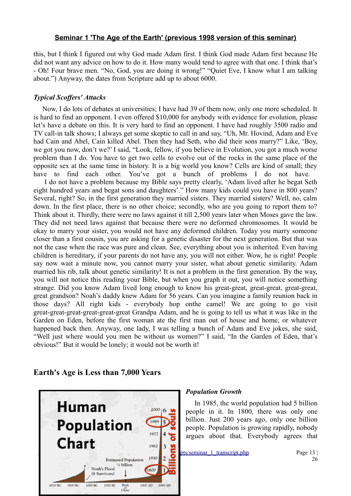this, but I think I figured out why God made Adam first. I think God made Adam first because He did not want any advice on how to do it. How many would tend to agree with that one. I think that's - Oh! Four brave men. "No, God, you are doing it wrong!" "Quiet Eve, I know what I am talking about.") Anyway, the dates from Scripture add up to about 6000.

### *Typical Scoffers' Attacks*

Now, I do lots of debates at universities; I have had 39 of them now, only one more scheduled. It is hard to find an opponent. I even offered \$10,000 for anybody with evidence for evolution, please let's have a debate on this. It is very hard to find an opponent. I have had roughly 3500 radio and TV call-in talk shows; I always get some skeptic to call in and say, "Uh, Mr. Hovind, Adam and Eve had Cain and Abel, Cain killed Abel. Then they had Seth, who did their sons marry?" Like, 'Boy, we got you now, don't we?' I said, "Look, fellow, if you believe in Evolution, you got a much worse problem than I do. You have to get two cells to evolve out of the rocks in the same place of the opposite sex at the same time in history. It is a big world you know? Cells are kind of small; they have to find each other. You've got a bunch of problems I do not have.

 I do not have a problem because my Bible says pretty clearly, 'Adam lived after he begat Seth eight hundred years and begat sons and daughters'." How many kids could you have in 800 years? Several, right? So, in the first generation they married sisters. They married sisters? Well, no, calm down. In the first place, there is no other choice; secondly, who are you going to report them to? Think about it. Thirdly, there were no laws against it till 2,500 years later when Moses gave the law. They did not need laws against that because there were no deformed chromosomes. It would be okay to marry your sister, you would not have any deformed children. Today you marry someone closer than a first cousin, you are asking for a genetic disaster for the next generation. But that was not the case when the race was pure and clean. See, everything about you is inherited. Even having children is hereditary, if your parents do not have any, you will not either. Wow, he is right! People say now wait a minute now, you cannot marry your sister, what about genetic similarity. Adam married his rib, talk about genetic similarity! It is not a problem in the first generation. By the way, you will not notice this reading your Bible, but when you graph it out, you will notice something strange. Did you know Adam lived long enough to know his great-great, great-great, great-great, great grandson? Noah's daddy knew Adam for 56 years. Can you imagine a family reunion back in those days? All right kids - everybody hop onthe camel! We are going to go visit great-great-great-great-great-great Grandpa Adam, and he is going to tell us what it was like in the Garden on Eden, before the first woman ate the first man out of house and home, or whatever happened back then. Anyway, one lady, I was telling a bunch of Adam and Eve jokes, she said, "Well just where would you men be without us women?" I said, "In the Garden of Eden, that's obvious!" But it would be lonely; it would not be worth it!

### **Earth's Age is Less than 7,000 Years**



#### *Population Growth*

In 1985, the world population had 5 billion people in it. In 1800, there was only one billion. Just 200 years ago, only one billion people. Population is growing rapidly, nobody argues about that. Everybody agrees that

 $\frac{1}{1930}$   $\frac{1}{2}$   $\frac{1}{2}$   $\frac{pts/seminar_1_transcript.php}{?6}$  Page 13 |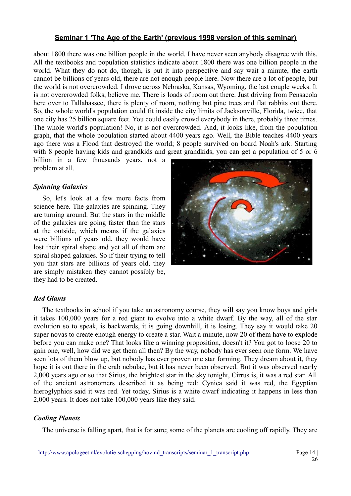about 1800 there was one billion people in the world. I have never seen anybody disagree with this. All the textbooks and population statistics indicate about 1800 there was one billion people in the world. What they do not do, though, is put it into perspective and say wait a minute, the earth cannot be billions of years old, there are not enough people here. Now there are a lot of people, but the world is not overcrowded. I drove across Nebraska, Kansas, Wyoming, the last couple weeks. It is not overcrowded folks, believe me. There is loads of room out there. Just driving from Pensacola here over to Tallahassee, there is plenty of room, nothing but pine trees and flat rabbits out there. So, the whole world's population could fit inside the city limits of Jacksonville, Florida, twice, that one city has 25 billion square feet. You could easily crowd everybody in there, probably three times. The whole world's population! No, it is not overcrowded. And, it looks like, from the population graph, that the whole population started about 4400 years ago. Well, the Bible teaches 4400 years ago there was a Flood that destroyed the world; 8 people survived on board Noah's ark. Starting with 8 people having kids and grandkids and great grandkids, you can get a population of 5 or 6

billion in a few thousands years, not a problem at all.

### *Spinning Galaxies*

So, let's look at a few more facts from science here. The galaxies are spinning. They are turning around. But the stars in the middle of the galaxies are going faster than the stars at the outside, which means if the galaxies were billions of years old, they would have lost their spiral shape and yet all of them are spiral shaped galaxies. So if their trying to tell you that stars are billions of years old, they are simply mistaken they cannot possibly be, they had to be created.



### *Red Giants*

The textbooks in school if you take an astronomy course, they will say you know boys and girls it takes 100,000 years for a red giant to evolve into a white dwarf. By the way, all of the star evolution so to speak, is backwards, it is going downhill, it is losing. They say it would take 20 super novas to create enough energy to create a star. Wait a minute, now 20 of them have to explode before you can make one? That looks like a winning proposition, doesn't it? You got to loose 20 to gain one, well, how did we get them all then? By the way, nobody has ever seen one form. We have seen lots of them blow up, but nobody has ever proven one star forming. They dream about it, they hope it is out there in the crab nebulae, but it has never been observed. But it was observed nearly 2,000 years ago or so that Sirius, the brightest star in the sky tonight, Cirrus is, it was a red star. All of the ancient astronomers described it as being red: Cynica said it was red, the Egyptian hieroglyphics said it was red. Yet today, Sirius is a white dwarf indicating it happens in less than 2,000 years. It does not take 100,000 years like they said.

#### *Cooling Planets*

The universe is falling apart, that is for sure; some of the planets are cooling off rapidly. They are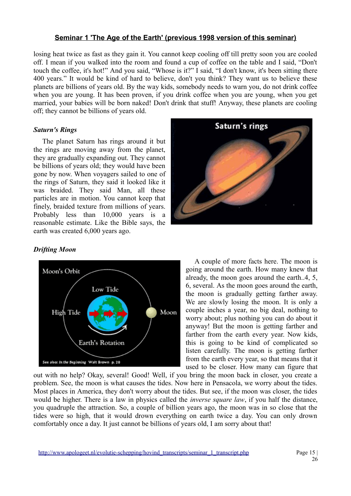losing heat twice as fast as they gain it. You cannot keep cooling off till pretty soon you are cooled off. I mean if you walked into the room and found a cup of coffee on the table and I said, "Don't touch the coffee, it's hot!" And you said, "Whose is it?" I said, "I don't know, it's been sitting there 400 years." It would be kind of hard to believe, don't you think? They want us to believe these planets are billions of years old. By the way kids, somebody needs to warn you, do not drink coffee when you are young. It has been proven, if you drink coffee when you are young, when you get married, your babies will be born naked! Don't drink that stuff! Anyway, these planets are cooling off; they cannot be billions of years old.

# *Saturn's Rings*

The planet Saturn has rings around it but the rings are moving away from the planet, they are gradually expanding out. They cannot be billions of years old; they would have been gone by now. When voyagers sailed to one of the rings of Saturn, they said it looked like it was braided. They said Man, all these particles are in motion. You cannot keep that finely, braided texture from millions of years. Probably less than 10,000 years is a reasonable estimate. Like the Bible says, the earth was created 6,000 years ago.



### *Drifting Moon*



A couple of more facts here. The moon is going around the earth. How many knew that already, the moon goes around the earth..4, 5, 6, several. As the moon goes around the earth, the moon is gradually getting farther away. We are slowly losing the moon. It is only a couple inches a year, no big deal, nothing to worry about; plus nothing you can do about it anyway! But the moon is getting farther and farther from the earth every year. Now kids, this is going to be kind of complicated so listen carefully. The moon is getting farther from the earth every year, so that means that it used to be closer. How many can figure that

out with no help? Okay, several! Good! Well, if you bring the moon back in closer, you create a problem. See, the moon is what causes the tides. Now here in Pensacola, we worry about the tides. Most places in America, they don't worry about the tides. But see, if the moon was closer, the tides would be higher. There is a law in physics called the *inverse square law*, if you half the distance, you quadruple the attraction. So, a couple of billion years ago, the moon was in so close that the tides were so high, that it would drown everything on earth twice a day. You can only drown comfortably once a day. It just cannot be billions of years old, I am sorry about that!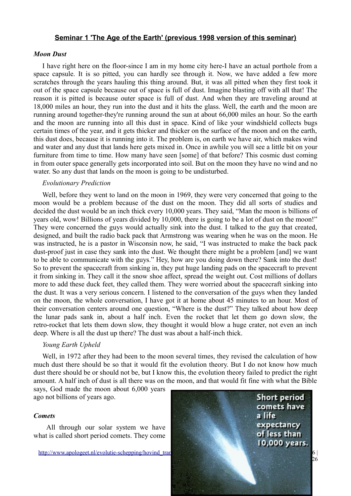#### *Moon Dust*

I have right here on the floor-since I am in my home city here-I have an actual porthole from a space capsule. It is so pitted, you can hardly see through it. Now, we have added a few more scratches through the years hauling this thing around. But, it was all pitted when they first took it out of the space capsule because out of space is full of dust. Imagine blasting off with all that! The reason it is pitted is because outer space is full of dust. And when they are traveling around at 18,000 miles an hour, they run into the dust and it hits the glass. Well, the earth and the moon are running around together-they're running around the sun at about 66,000 miles an hour. So the earth and the moon are running into all this dust in space. Kind of like your windshield collects bugs certain times of the year, and it gets thicker and thicker on the surface of the moon and on the earth, this dust does, because it is running into it. The problem is, on earth we have air, which makes wind and water and any dust that lands here gets mixed in. Once in awhile you will see a little bit on your furniture from time to time. How many have seen [some] of that before? This cosmic dust coming in from outer space generally gets incorporated into soil. But on the moon they have no wind and no water. So any dust that lands on the moon is going to be undisturbed.

#### *Evolutionary Prediction*

Well, before they went to land on the moon in 1969, they were very concerned that going to the moon would be a problem because of the dust on the moon. They did all sorts of studies and decided the dust would be an inch thick every 10,000 years. They said, "Man the moon is billions of years old, wow! Billions of years divided by 10,000, there is going to be a lot of dust on the moon!" They were concerned the guys would actually sink into the dust. I talked to the guy that created, designed, and built the radio back pack that Armstrong was wearing when he was on the moon. He was instructed, he is a pastor in Wisconsin now, he said, "I was instructed to make the back pack dust-proof just in case they sank into the dust. We thought there might be a problem [and] we want to be able to communicate with the guys." Hey, how are you doing down there? Sank into the dust! So to prevent the spacecraft from sinking in, they put huge landing pads on the spacecraft to prevent it from sinking in. They call it the snow shoe affect, spread the weight out. Cost millions of dollars more to add these duck feet, they called them. They were worried about the spacecraft sinking into the dust. It was a very serious concern. I listened to the conversation of the guys when they landed on the moon, the whole conversation, I have got it at home about 45 minutes to an hour. Most of their conversation centers around one question, "Where is the dust?" They talked about how deep the lunar pads sank in, about a half inch. Even the rocket that let them go down slow, the retro-rocket that lets them down slow, they thought it would blow a huge crater, not even an inch deep. Where is all the dust up there? The dust was about a half-inch thick.

### *Young Earth Upheld*

Well, in 1972 after they had been to the moon several times, they revised the calculation of how much dust there should be so that it would fit the evolution theory. But I do not know how much dust there should be or should not be, but I know this, the evolution theory failed to predict the right amount. A half inch of dust is all there was on the moon, and that would fit fine with what the Bible

says, God made the moon about 6,000 years ago not billions of years ago.

### *Comets*

 All through our solar system we have what is called short period comets. They come

http://www.apologeet.nl/evolutie-schepping/hovind\_tran

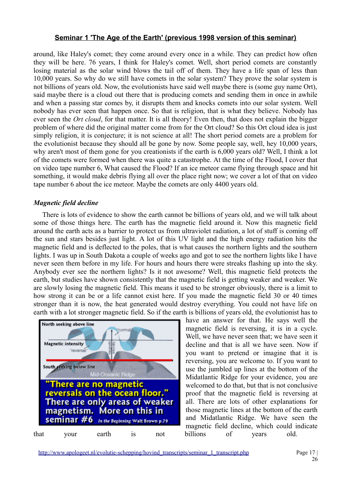around, like Haley's comet; they come around every once in a while. They can predict how often they will be here. 76 years, I think for Haley's comet. Well, short period comets are constantly losing material as the solar wind blows the tail off of them. They have a life span of less than 10,000 years. So why do we still have comets in the solar system? They prove the solar system is not billions of years old. Now, the evolutionists have said well maybe there is (some guy name Ort), said maybe there is a cloud out there that is producing comets and sending them in once in awhile and when a passing star comes by, it disrupts them and knocks comets into our solar system. Well nobody has ever seen that happen once. So that is religion, that is what they believe. Nobody has ever seen the *Ort cloud*, for that matter. It is all theory! Even then, that does not explain the bigger problem of where did the original matter come from for the Ort cloud? So this Ort cloud idea is just simply religion, it is conjecture; it is not science at all! The short period comets are a problem for the evolutionist because they should all be gone by now. Some people say, well, hey 10,000 years, why aren't most of them gone for you creationists if the earth is 6,000 years old? Well, I think a lot of the comets were formed when there was quite a catastrophe. At the time of the Flood, I cover that on video tape number 6, What caused the Flood? If an ice meteor came flying through space and hit something, it would make debris flying all over the place right now; we cover a lot of that on video tape number 6 about the ice meteor. Maybe the comets are only 4400 years old.

### *Magnetic field decline*

There is lots of evidence to show the earth cannot be billions of years old, and we will talk about some of those things here. The earth has the magnetic field around it. Now this magnetic field around the earth acts as a barrier to protect us from ultraviolet radiation, a lot of stuff is coming off the sun and stars besides just light. A lot of this UV light and the high energy radiation hits the magnetic field and is deflected to the poles, that is what causes the northern lights and the southern lights. I was up in South Dakota a couple of weeks ago and got to see the northern lights like I have never seen them before in my life. For hours and hours there were streaks flashing up into the sky. Anybody ever see the northern lights? Is it not awesome? Well, this magnetic field protects the earth, but studies have shown consistently that the magnetic field is getting weaker and weaker. We are slowly losing the magnetic field. This means it used to be stronger obviously, there is a limit to how strong it can be or a life cannot exist here. If you made the magnetic field 30 or 40 times stronger than it is now, the heat generated would destroy everything. You could not have life on earth with a lot stronger magnetic field. So if the earth is billions of years old, the evolutionist has to



have an answer for that. He says well the magnetic field is reversing, it is in a cycle. Well, we have never seen that; we have seen it decline and that is all we have seen. Now if you want to pretend or imagine that it is reversing, you are welcome to. If you want to use the jumbled up lines at the bottom of the Midatlantic Ridge for your evidence, you are welcomed to do that, but that is not conclusive proof that the magnetic field is reversing at all. There are lots of other explanations for those magnetic lines at the bottom of the earth and Midatlantic Ridge. We have seen the magnetic field decline, which could indicate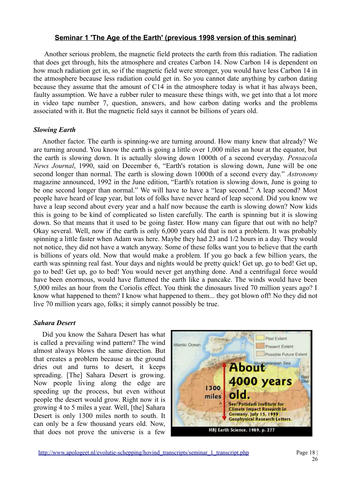Another serious problem, the magnetic field protects the earth from this radiation. The radiation that does get through, hits the atmosphere and creates Carbon 14. Now Carbon 14 is dependent on how much radiation get in, so if the magnetic field were stronger, you would have less Carbon 14 in the atmosphere because less radiation could get in. So you cannot date anything by carbon dating because they assume that the amount of C14 in the atmosphere today is what it has always been, faulty assumption. We have a rubber ruler to measure these things with, we get into that a lot more in video tape number 7, question, answers, and how carbon dating works and the problems associated with it. But the magnetic field says it cannot be billions of years old.

# *Slowing Earth*

Another factor. The earth is spinning-we are turning around. How many knew that already? We are turning around. You know the earth is going a little over 1,000 miles an hour at the equator, but the earth is slowing down. It is actually slowing down 1000th of a second everyday. *Pensacola News Journal*, 1990, said on December 6, "Earth's rotation is slowing down, June will be one second longer than normal. The earth is slowing down 1000th of a second every day." *Astronomy* magazine announced, 1992 in the June edition, "Earth's rotation is slowing down, June is going to be one second longer than normal." We will have to have a "leap second." A leap second? Most people have heard of leap year, but lots of folks have never heard of leap second. Did you know we have a leap second about every year and a half now because the earth is slowing down? Now kids this is going to be kind of complicated so listen carefully. The earth is spinning but it is slowing down. So that means that it used to be going faster. How many can figure that out with no help? Okay several. Well, now if the earth is only 6,000 years old that is not a problem. It was probably spinning a little faster when Adam was here. Maybe they had 23 and 1/2 hours in a day. They would not notice, they did not have a watch anyway. Some of these folks want you to believe that the earth is billions of years old. Now that would make a problem. If you go back a few billion years, the earth was spinning real fast. Your days and nights would be pretty quick! Get up, go to bed! Get up, go to bed! Get up, go to bed! You would never get anything done. And a centrifugal force would have been enormous, would have flattened the earth like a pancake. The winds would have been 5,000 miles an hour from the Coriolis effect. You think the dinosaurs lived 70 million years ago? I know what happened to them? I know what happened to them... they got blown off! No they did not live 70 million years ago, folks; it simply cannot possibly be true.

### *Sahara Desert*

Did you know the Sahara Desert has what is called a prevailing wind pattern? The wind almost always blows the same direction. But that creates a problem because as the ground dries out and turns to desert, it keeps spreading. [The] Sahara Desert is growing. Now people living along the edge are speeding up the process, but even without people the desert would grow. Right now it is growing 4 to 5 miles a year. Well, [the] Sahara Desert is only 1300 miles north to south. It can only be a few thousand years old. Now, that does not prove the universe is a few

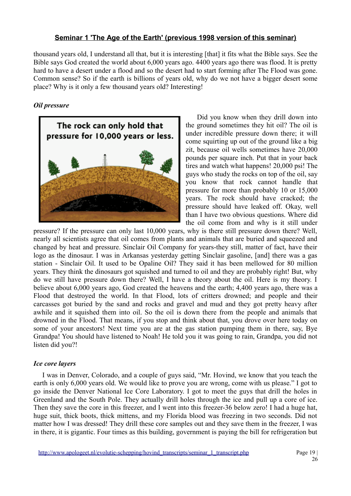thousand years old, I understand all that, but it is interesting [that] it fits what the Bible says. See the Bible says God created the world about 6,000 years ago. 4400 years ago there was flood. It is pretty hard to have a desert under a flood and so the desert had to start forming after The Flood was gone. Common sense? So if the earth is billions of years old, why do we not have a bigger desert some place? Why is it only a few thousand years old? Interesting!

# *Oil pressure*



 Did you know when they drill down into the ground sometimes they hit oil? The oil is under incredible pressure down there; it will come squirting up out of the ground like a big zit, because oil wells sometimes have 20,000 pounds per square inch. Put that in your back tires and watch what happens! 20,000 psi! The guys who study the rocks on top of the oil, say you know that rock cannot handle that pressure for more than probably 10 or 15,000 years. The rock should have cracked; the pressure should have leaked off. Okay, well than I have two obvious questions. Where did the oil come from and why is it still under

pressure? If the pressure can only last 10,000 years, why is there still pressure down there? Well, nearly all scientists agree that oil comes from plants and animals that are buried and squeezed and changed by heat and pressure. Sinclair Oil Company for years-they still, matter of fact, have their logo as the dinosaur. I was in Arkansas yesterday getting Sinclair gasoline, [and] there was a gas station - Sinclair Oil. It used to be Opaline Oil? They said it has been mellowed for 80 million years. They think the dinosaurs got squished and turned to oil and they are probably right! But, why do we still have pressure down there? Well, I have a theory about the oil. Here is my theory. I believe about 6,000 years ago, God created the heavens and the earth; 4,400 years ago, there was a Flood that destroyed the world. In that Flood, lots of critters drowned; and people and their carcasses got buried by the sand and rocks and gravel and mud and they got pretty heavy after awhile and it squished them into oil. So the oil is down there from the people and animals that drowned in the Flood. That means, if you stop and think about that, you drove over here today on some of your ancestors! Next time you are at the gas station pumping them in there, say, Bye Grandpa! You should have listened to Noah! He told you it was going to rain, Grandpa, you did not listen did you?!

### *Ice core layers*

I was in Denver, Colorado, and a couple of guys said, "Mr. Hovind, we know that you teach the earth is only 6,000 years old. We would like to prove you are wrong, come with us please." I got to go inside the Denver National Ice Core Laboratory. I got to meet the guys that drill the holes in Greenland and the South Pole. They actually drill holes through the ice and pull up a core of ice. Then they save the core in this freezer, and I went into this freezer-36 below zero! I had a huge hat, huge suit, thick boots, thick mittens, and my Florida blood was freezing in two seconds. Did not matter how I was dressed! They drill these core samples out and they save them in the freezer, I was in there, it is gigantic. Four times as this building, government is paying the bill for refrigeration but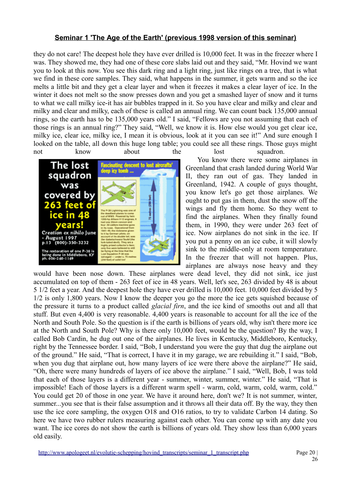they do not care! The deepest hole they have ever drilled is 10,000 feet. It was in the freezer where I was. They showed me, they had one of these core slabs laid out and they said, "Mr. Hovind we want you to look at this now. You see this dark ring and a light ring, just like rings on a tree, that is what we find in these core samples. They said, what happens in the summer, it gets warm and so the ice melts a little bit and they get a clear layer and when it freezes it makes a clear layer of ice. In the winter it does not melt so the snow presses down and you get a smashed layer of snow and it turns to what we call milky ice-it has air bubbles trapped in it. So you have clear and milky and clear and milky and clear and milky, each of these is called an annual ring. We can count back 135,000 annual rings, so the earth has to be 135,000 years old." I said, "Fellows are you not assuming that each of those rings is an annual ring?" They said, "Well, we know it is. How else would you get clear ice, milky ice, clear ice, milky ice, I mean it is obvious, look at it you can see it!" And sure enough I looked on the table, all down this huge long table; you could see all these rings. Those guys might not know about the lost squadron.



 You know there were some airplanes in Greenland that crash landed during World War II, they ran out of gas. They landed in Greenland, 1942. A couple of guys thought, you know let's go get those airplanes. We ought to put gas in them, dust the snow off the wings and fly them home. So they went to find the airplanes. When they finally found them, in 1990, they were under 263 feet of ice. Now airplanes do not sink in the ice. If you put a penny on an ice cube, it will slowly sink to the middle-only at room temperature. In the freezer that will not happen. Plus, airplanes are always nose heavy and they

would have been nose down. These airplanes were dead level, they did not sink, ice just accumulated on top of them - 263 feet of ice in 48 years. Well, let's see, 263 divided by 48 is about 5 1/2 feet a year. And the deepest hole they have ever drilled is 10,000 feet. 10,000 feet divided by 5 1/2 is only 1,800 years. Now I know the deeper you go the more the ice gets squished because of the pressure it turns to a product called *glacial firn*, and the ice kind of smooths out and all that stuff. But even 4,400 is very reasonable. 4,400 years is reasonable to account for all the ice of the North and South Pole. So the question is if the earth is billions of years old, why isn't there more ice at the North and South Pole? Why is there only 10,000 feet, would be the question? By the way, I called Bob Cardin, he dug out one of the airplanes. He lives in Kentucky, Middleboro, Kentucky, right by the Tennessee border. I said, "Bob, I understand you were the guy that dug the airplane out of the ground." He said, "That is correct, I have it in my garage, we are rebuilding it." I said, "Bob, when you dug that airplane out, how many layers of ice were there above the airplane?" He said, "Oh, there were many hundreds of layers of ice above the airplane." I said, "Well, Bob, I was told that each of those layers is a different year - summer, winter, summer, winter." He said, "That is impossible! Each of those layers is a different warm spell - warm, cold, warm, cold, warm, cold." You could get 20 of those in one year. We have it around here, don't we? It is not summer, winter, summer...you see that is their false assumption and it throws all their data off. By the way, they then use the ice core sampling, the oxygen O18 and O16 ratios, to try to validate Carbon 14 dating. So here we have two rubber rulers measuring against each other. You can come up with any date you want. The ice cores do not show the earth is billions of years old. They show less than 6,000 years old easily.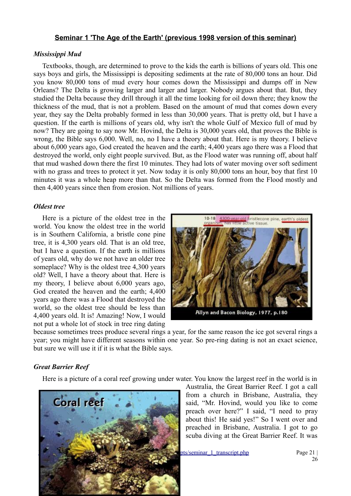#### *Mississippi Mud*

Textbooks, though, are determined to prove to the kids the earth is billions of years old. This one says boys and girls, the Mississippi is depositing sediments at the rate of 80,000 tons an hour. Did you know 80,000 tons of mud every hour comes down the Mississippi and dumps off in New Orleans? The Delta is growing larger and larger and larger. Nobody argues about that. But, they studied the Delta because they drill through it all the time looking for oil down there; they know the thickness of the mud, that is not a problem. Based on the amount of mud that comes down every year, they say the Delta probably formed in less than 30,000 years. That is pretty old, but I have a question. If the earth is millions of years old, why isn't the whole Gulf of Mexico full of mud by now? They are going to say now Mr. Hovind, the Delta is 30,000 years old, that proves the Bible is wrong, the Bible says 6,000. Well, no, no I have a theory about that. Here is my theory. I believe about 6,000 years ago, God created the heaven and the earth; 4,400 years ago there was a Flood that destroyed the world, only eight people survived. But, as the Flood water was running off, about half that mud washed down there the first 10 minutes. They had lots of water moving over soft sediment with no grass and trees to protect it yet. Now today it is only 80,000 tons an hour, boy that first 10 minutes it was a whole heap more than that. So the Delta was formed from the Flood mostly and then 4,400 years since then from erosion. Not millions of years.

#### *Oldest tree*

Here is a picture of the oldest tree in the world. You know the oldest tree in the world is in Southern California, a bristle cone pine tree, it is 4,300 years old. That is an old tree, but I have a question. If the earth is millions of years old, why do we not have an older tree someplace? Why is the oldest tree 4,300 years old? Well, I have a theory about that. Here is my theory, I believe about 6,000 years ago, God created the heaven and the earth; 4,400 years ago there was a Flood that destroyed the world, so the oldest tree should be less than 4,400 years old. It is! Amazing! Now, I would not put a whole lot of stock in tree ring dating



Allyn and Bacon Biology, 1977, p.180

because sometimes trees produce several rings a year, for the same reason the ice got several rings a year; you might have different seasons within one year. So pre-ring dating is not an exact science, but sure we will use it if it is what the Bible says.

#### *Great Barrier Reef*

Here is a picture of a coral reef growing under water. You know the largest reef in the world is in



Australia, the Great Barrier Reef. I got a call from a church in Brisbane, Australia, they said, "Mr. Hovind, would you like to come preach over here?" I said, "I need to pray about this! He said yes!" So I went over and preached in Brisbane, Australia. I got to go scuba diving at the Great Barrier Reef. It was

pts/seminar 1 transcript.php Page 21 |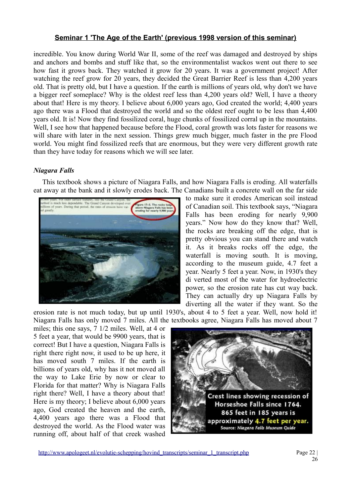incredible. You know during World War II, some of the reef was damaged and destroyed by ships and anchors and bombs and stuff like that, so the environmentalist wackos went out there to see how fast it grows back. They watched it grow for 20 years. It was a government project! After watching the reef grow for 20 years, they decided the Great Barrier Reef is less than 4,200 years old. That is pretty old, but I have a question. If the earth is millions of years old, why don't we have a bigger reef someplace? Why is the oldest reef less than 4,200 years old? Well, I have a theory about that! Here is my theory. I believe about 6,000 years ago, God created the world; 4,400 years ago there was a Flood that destroyed the world and so the oldest reef ought to be less than 4,400 years old. It is! Now they find fossilized coral, huge chunks of fossilized corral up in the mountains. Well. I see how that happened because before the Flood, coral growth was lots faster for reasons we will share with later in the next session. Things grew much bigger, much faster in the pre Flood world. You might find fossilized reefs that are enormous, but they were very different growth rate than they have today for reasons which we will see later.

# *Niagara Falls*

This textbook shows a picture of Niagara Falls, and how Niagara Falls is eroding. All waterfalls eat away at the bank and it slowly erodes back. The Canadians built a concrete wall on the far side



to make sure it erodes American soil instead of Canadian soil. This textbook says, "Niagara Falls has been eroding for nearly 9,900 years." Now how do they know that? Well, the rocks are breaking off the edge, that is pretty obvious you can stand there and watch it. As it breaks rocks off the edge, the waterfall is moving south. It is moving, according to the museum guide, 4.7 feet a year. Nearly 5 feet a year. Now, in 1930's they di verted most of the water for hydroelectric power, so the erosion rate has cut way back. They can actually dry up Niagara Falls by diverting all the water if they want. So the

erosion rate is not much today, but up until 1930's, about 4 to 5 feet a year. Well, now hold it! Niagara Falls has only moved 7 miles. All the textbooks agree, Niagara Falls has moved about 7

miles; this one says, 7 1/2 miles. Well, at 4 or 5 feet a year, that would be 9900 years, that is correct! But I have a question, Niagara Falls is right there right now, it used to be up here, it has moved south 7 miles. If the earth is billions of years old, why has it not moved all the way to Lake Erie by now or clear to Florida for that matter? Why is Niagara Falls right there? Well, I have a theory about that! Here is my theory; I believe about 6,000 years ago, God created the heaven and the earth, 4,400 years ago there was a Flood that destroyed the world. As the Flood water was running off, about half of that creek washed

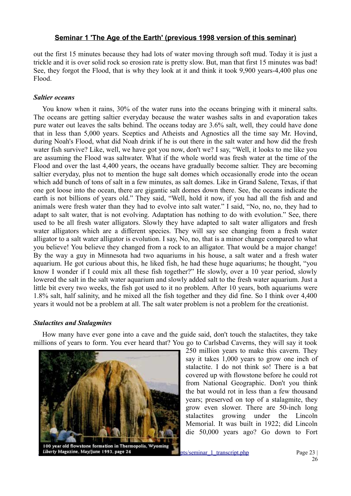out the first 15 minutes because they had lots of water moving through soft mud. Today it is just a trickle and it is over solid rock so erosion rate is pretty slow. But, man that first 15 minutes was bad! See, they forgot the Flood, that is why they look at it and think it took 9,900 years-4,400 plus one Flood.

#### *Saltier oceans*

You know when it rains, 30% of the water runs into the oceans bringing with it mineral salts. The oceans are getting saltier everyday because the water washes salts in and evaporation takes pure water out leaves the salts behind. The oceans today are 3.6% salt, well, they could have done that in less than 5,000 years. Sceptics and Atheists and Agnostics all the time say Mr. Hovind, during Noah's Flood, what did Noah drink if he is out there in the salt water and how did the fresh water fish survive? Like, well, we have got you now, don't we? I say, "Well, it looks to me like you are assuming the Flood was saltwater. What if the whole world was fresh water at the time of the Flood and over the last 4,400 years, the oceans have gradually become saltier. They are becoming saltier everyday, plus not to mention the huge salt domes which occasionally erode into the ocean which add bunch of tons of salt in a few minutes, as salt domes. Like in Grand Salene, Texas, if that one got loose into the ocean, there are gigantic salt domes down there. See, the oceans indicate the earth is not billions of years old." They said, "Well, hold it now, if you had all the fish and and animals were fresh water than they had to evolve into salt water." I said, "No, no, no, they had to adapt to salt water, that is not evolving. Adaptation has nothing to do with evolution." See, there used to be all fresh water alligators. Slowly they have adapted to salt water alligators and fresh water alligators which are a different species. They will say see changing from a fresh water alligator to a salt water alligator is evolution. I say, No, no, that is a minor change compared to what you believe! You believe they changed from a rock to an alligator. That would be a major change! By the way a guy in Minnesota had two aquariums in his house, a salt water and a fresh water aquarium. He got curious about this, he liked fish, he had these huge aquariums; he thought, "you know I wonder if I could mix all these fish together?" He slowly, over a 10 year period, slowly lowered the salt in the salt water aquarium and slowly added salt to the fresh water aquarium. Just a little bit every two weeks, the fish got used to it no problem. After 10 years, both aquariums were 1.8% salt, half salinity, and he mixed all the fish together and they did fine. So I think over 4,400 years it would not be a problem at all. The salt water problem is not a problem for the creationist.

#### *Stalactites and Stalagmites*

How many have ever gone into a cave and the guide said, don't touch the stalactites, they take millions of years to form. You ever heard that? You go to Carlsbad Caverns, they will say it took



250 million years to make this cavern. They say it takes 1,000 years to grow one inch of stalactite. I do not think so! There is a bat covered up with flowstone before he could rot from National Geographic. Don't you think the bat would rot in less than a few thousand years; preserved on top of a stalagmite, they grow even slower. There are 50-inch long stalactites growing under the Lincoln Memorial. It was built in 1922; did Lincoln die 50,000 years ago? Go down to Fort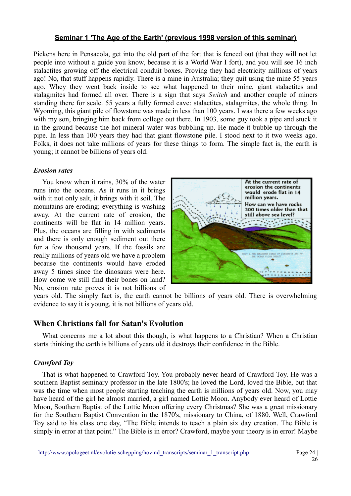Pickens here in Pensacola, get into the old part of the fort that is fenced out (that they will not let people into without a guide you know, because it is a World War I fort), and you will see 16 inch stalactites growing off the electrical conduit boxes. Proving they had electricity millions of years ago! No, that stuff happens rapidly. There is a mine in Australia; they quit using the mine 55 years ago. Whey they went back inside to see what happened to their mine, giant stalactites and stalagmites had formed all over. There is a sign that says *Switch* and another couple of miners standing there for scale. 55 years a fully formed cave: stalactites, stalagmites, the whole thing. In Wyoming, this giant pile of flowstone was made in less than 100 years. I was there a few weeks ago with my son, bringing him back from college out there. In 1903, some guy took a pipe and stuck it in the ground because the hot mineral water was bubbling up. He made it bubble up through the pipe. In less than 100 years they had that giant flowstone pile. I stood next to it two weeks ago. Folks, it does not take millions of years for these things to form. The simple fact is, the earth is young; it cannot be billions of years old.

### *Erosion rates*

You know when it rains, 30% of the water runs into the oceans. As it runs in it brings with it not only salt, it brings with it soil. The mountains are eroding; everything is washing away. At the current rate of erosion, the continents will be flat in 14 million years. Plus, the oceans are filling in with sediments and there is only enough sediment out there for a few thousand years. If the fossils are really millions of years old we have a problem because the continents would have eroded away 5 times since the dinosaurs were here. How come we still find their bones on land? No, erosion rate proves it is not billions of



years old. The simply fact is, the earth cannot be billions of years old. There is overwhelming evidence to say it is young, it is not billions of years old.

# **When Christians fall for Satan's Evolution**

What concerns me a lot about this though, is what happens to a Christian? When a Christian starts thinking the earth is billions of years old it destroys their confidence in the Bible.

# *Crawford Toy*

That is what happened to Crawford Toy. You probably never heard of Crawford Toy. He was a southern Baptist seminary professor in the late 1800's; he loved the Lord, loved the Bible, but that was the time when most people starting teaching the earth is millions of years old. Now, you may have heard of the girl he almost married, a girl named Lottie Moon. Anybody ever heard of Lottie Moon, Southern Baptist of the Lottie Moon offering every Christmas? She was a great missionary for the Southern Baptist Convention in the 1870's, missionary to China, of 1880. Well, Crawford Toy said to his class one day, "The Bible intends to teach a plain six day creation. The Bible is simply in error at that point." The Bible is in error? Crawford, maybe your theory is in error! Maybe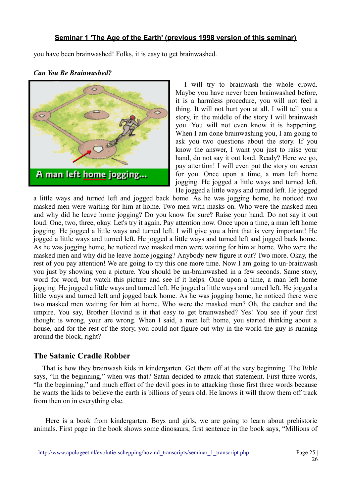you have been brainwashed! Folks, it is easy to get brainwashed.



# *Can You Be Brainwashed?*

I will try to brainwash the whole crowd. Maybe you have never been brainwashed before, it is a harmless procedure, you will not feel a thing. It will not hurt you at all. I will tell you a story, in the middle of the story I will brainwash you. You will not even know it is happening. When I am done brainwashing you, I am going to ask you two questions about the story. If you know the answer, I want you just to raise your hand, do not say it out loud. Ready? Here we go, pay attention! I will even put the story on screen for you. Once upon a time, a man left home jogging. He jogged a little ways and turned left. He jogged a little ways and turned left. He jogged

a little ways and turned left and jogged back home. As he was jogging home, he noticed two masked men were waiting for him at home. Two men with masks on. Who were the masked men and why did he leave home jogging? Do you know for sure? Raise your hand. Do not say it out loud. One, two, three, okay. Let's try it again. Pay attention now. Once upon a time, a man left home jogging. He jogged a little ways and turned left. I will give you a hint that is very important! He jogged a little ways and turned left. He jogged a little ways and turned left and jogged back home. As he was jogging home, he noticed two masked men were waiting for him at home. Who were the masked men and why did he leave home jogging? Anybody new figure it out? Two more. Okay, the rest of you pay attention! We are going to try this one more time. Now I am going to un-brainwash you just by showing you a picture. You should be un-brainwashed in a few seconds. Same story, word for word, but watch this picture and see if it helps. Once upon a time, a man left home jogging. He jogged a little ways and turned left. He jogged a little ways and turned left. He jogged a little ways and turned left and jogged back home. As he was jogging home, he noticed there were two masked men waiting for him at home. Who were the masked men? Oh, the catcher and the umpire. You say, Brother Hovind is it that easy to get brainwashed? Yes! You see if your first thought is wrong, your are wrong. When I said, a man left home, you started thinking about a house, and for the rest of the story, you could not figure out why in the world the guy is running around the block, right?

# **The Satanic Cradle Robber**

That is how they brainwash kids in kindergarten. Get them off at the very beginning. The Bible says, "In the beginning," when was that? Satan decided to attack that statement. First three words, "In the beginning," and much effort of the devil goes in to attacking those first three words because he wants the kids to believe the earth is billions of years old. He knows it will throw them off track from then on in everything else.

 Here is a book from kindergarten. Boys and girls, we are going to learn about prehistoric animals. First page in the book shows some dinosaurs, first sentence in the book says, "Millions of